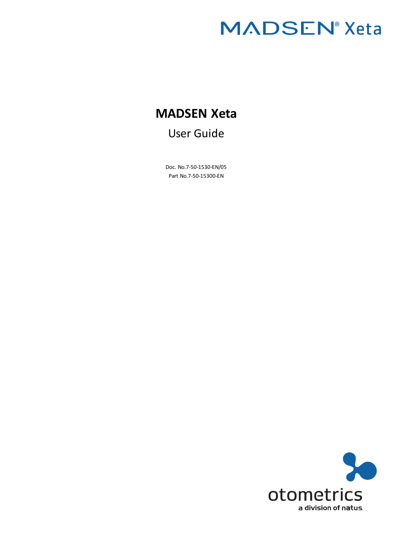# **MADSEN® Xeta**

# **MADSEN Xeta**

User Guide

Doc. No.7-50-1530-EN/05 Part No.7-50-15300-EN

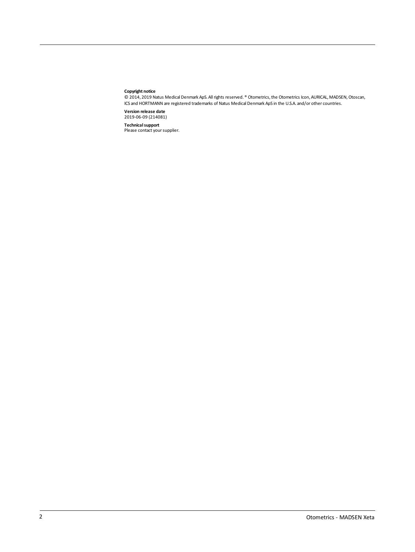#### **Copyright notice**

© 2014, 2019 Natus Medical Denmark ApS. Allrights reserved. ® Otometrics,the Otometrics Icon, AURICAL, MADSEN,Otoscan, ICS and HORTMANN are registered trademarks of Natus Medical Denmark ApS in the U.S.A. and/or other countries.

**Version release date** 2019-06-09 (214081)

**Technical support**<br>Please contact your supplier.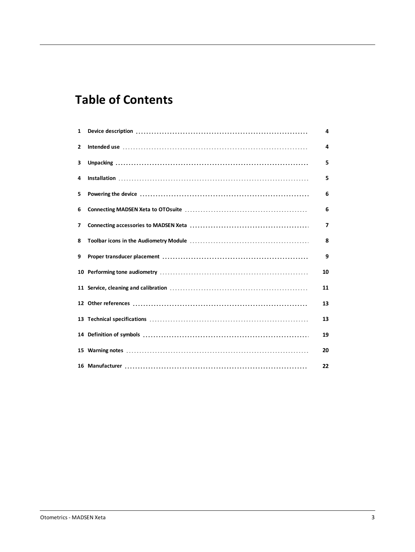# **Table of Contents**

| $\mathbf{1}$ | 4  |
|--------------|----|
| 2            | 4  |
| 3            | 5  |
| 4            | 5  |
| 5            | 6  |
| 6            | 6  |
| 7            | 7  |
| 8            | 8  |
| 9            | 9  |
|              | 10 |
|              | 11 |
|              | 13 |
|              | 13 |
|              | 19 |
|              | 20 |
|              | 22 |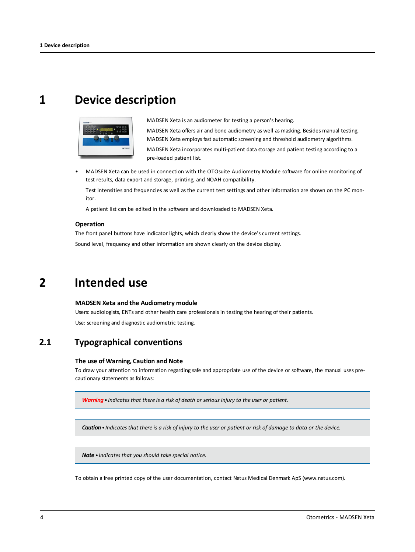# <span id="page-3-0"></span>**1 Device description**



MADSEN Xeta is an audiometer for testing a person's hearing.

MADSEN Xeta offers air and bone audiometry as well as masking. Besides manual testing, MADSEN Xeta employs fast automatic screening and threshold audiometry algorithms.

MADSEN Xeta incorporates multi-patient data storage and patient testing according to a pre-loaded patient list.

• MADSEN Xeta can be used in connection with the OTOsuite Audiometry Module software for online monitoring of test results, data export and storage, printing, and NOAH compatibility.

Test intensities and frequencies as well as the current test settings and other information are shown on the PC monitor.

A patient list can be edited in the software and downloaded to MADSEN Xeta.

#### **Operation**

<span id="page-3-1"></span>The front panel buttons have indicator lights, which clearly show the device's current settings. Sound level, frequency and other information are shown clearly on the device display.

### **2 Intended use**

#### **MADSEN Xeta and the Audiometry module**

Users: audiologists, ENTs and other health care professionals in testing the hearing of their patients. Use: screening and diagnostic audiometric testing.

### **2.1 Typographical conventions**

#### **The use of Warning, Caution and Note**

To draw your attention to information regarding safe and appropriate use of the device or software, the manual uses precautionary statements as follows:

*Warning• Indicates that there is a risk of death or serious injury to the user or patient.*

Caution • Indicates that there is a risk of injury to the user or patient or risk of damage to data or the device.

*Note • Indicates that you should take special notice.*

To obtain a free printed copy of the user documentation, contact Natus Medical Denmark ApS (www.natus.com).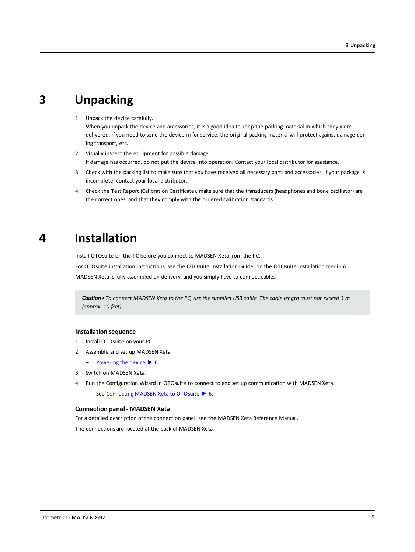# **3 Unpacking**

<span id="page-4-0"></span>1. Unpack the device carefully.

When you unpack the device and accessories, it is a good idea to keep the packing material in which they were delivered. If you need to send the device in for service, the original packing material will protect against damage during transport, etc.

- 2. Visually inspect the equipment for possible damage. If damage has occurred, do not put the device into operation. Contact your local distributor for assistance.
- 3. Check with the packing list to make sure that you have received all necessary parts and accessories. If your package is incomplete, contact your local distributor.
- <span id="page-4-1"></span>4. Check the Test Report (Calibration Certificate), make sure that the transducers (headphones and bone oscillator) are the correct ones, and that they comply with the ordered calibration standards.

### **4 Installation**

Install OTOsuite on the PC before you connect to MADSEN Xeta from the PC.

For OTOsuite installation instructions, see the OTOsuite Installation Guide, on the OTOsuite installation medium.

MADSEN Xeta is fully assembled on delivery, and you simply have to connect cables.

Caution . To connect MADSEN Xeta to the PC, use the supplied USB cable. The cable length must not exceed 3 m *(approx. 10 feet).*

#### **Installation sequence**

- 1. Install OTOsuite on your PC.
- 2. Assemble and set up MADSEN Xeta.
	- $-$  [Powering](#page-5-0) the device  $\triangleright$  6
- 3. Switch on MADSEN Xeta.
- 4. Run the Configuration Wizard in OTOsuite to connect to and set up communication with MADSEN Xeta.
	- See [Connecting](#page-5-1) MADSEN Xeta to OTOsuite ► 6.

### **Connection panel - MADSEN Xeta**

For a detailed description of the connection panel, see the MADSEN Xeta Reference Manual. The connections are located at the back of MADSEN Xeta.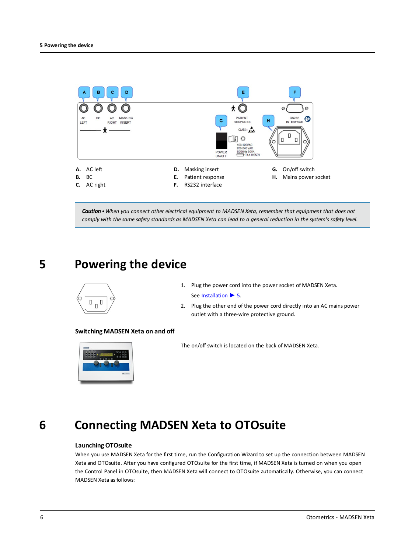

<span id="page-5-0"></span>*Caution•When you connect other electrical equipment to MADSEN Xeta, remember that equipment that does not* comply with the same safety standards as MADSEN Xeta can lead to a general reduction in the system's safety level.

### **5 Powering the device**



1. Plug the power cord into the power socket of MADSEN Xeta. See [Installation](#page-4-1) ▶ 5.

2. Plug the other end of the power cord directly into an AC mains power outlet with a three-wire protective ground.

### **Switching MADSEN Xeta on and off**



The on/off switch is located on the back of MADSEN Xeta.

# <span id="page-5-1"></span>**6 Connecting MADSEN Xeta to OTOsuite**

### **Launching OTOsuite**

When you use MADSEN Xeta for the first time, run the Configuration Wizard to set up the connection between MADSEN Xeta and OTOsuite. After you have configured OTOsuite for the first time, if MADSEN Xeta is turned on when you open the Control Panel in OTOsuite, then MADSEN Xeta will connect to OTOsuite automatically. Otherwise, you can connect MADSEN Xeta as follows: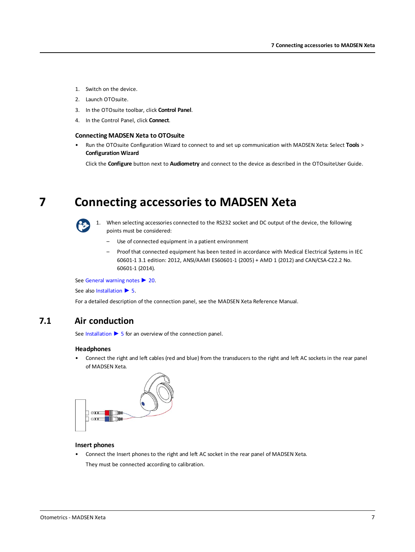- 1. Switch on the device.
- 2. Launch OTOsuite.
- 3. In the OTOsuite toolbar, click **Control Panel**.
- 4. In the Control Panel, click **Connect**.

### **Connecting MADSEN Xeta to OTOsuite**

• Run the OTOsuite Configuration Wizard to connect to and set up communication with MADSEN Xeta: Select **Tools** > **Configuration Wizard**

<span id="page-6-0"></span>Click the **Configure** button next to **Audiometry** and connect to the device as described in the OTOsuiteUser Guide.

# **7 Connecting accessories to MADSEN Xeta**



1. When selecting accessories connected to the RS232 socket and DC output of the device, the following points must be considered:

- Use of connected equipment in a patient environment
- Proof that connected equipment has been tested in accordance with Medical Electrical Systems in IEC 60601-1 3.1 edition: 2012, ANSI/AAMI ES60601-1 (2005) + AMD 1 (2012) and CAN/CSA-C22.2 No. 60601-1 (2014).

See General [warning](#page-19-1) notes ▶ 20.

See also [Installation](#page-4-1) ► 5.

For a detailed description of the connection panel, see the MADSEN Xeta Reference Manual.

### **7.1 Air conduction**

See [Installation](#page-4-1) ► 5 for an overview of the connection panel.

#### **Headphones**

• Connect the right and left cables (red and blue) from the transducers to the right and left AC sockets in the rear panel of MADSEN Xeta.



### **Insert phones**

• Connect the Insert phones to the right and left AC socket in the rear panel of MADSEN Xeta. They must be connected according to calibration.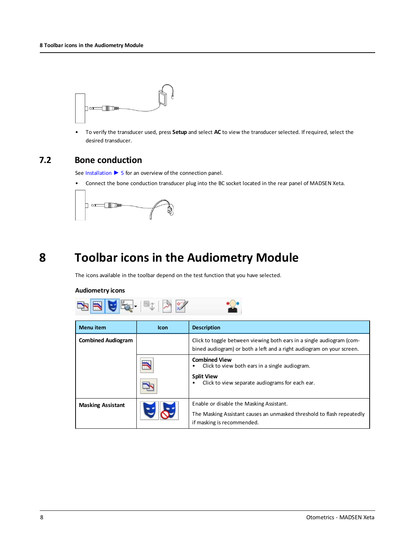

• To verify the transducer used, press **Setup** and select **AC** to view the transducer selected. If required, select the desired transducer.

### **7.2 Bone conduction**

See [Installation](#page-4-1) ► 5 for an overview of the connection panel.

• Connect the bone conduction transducer plug into the BC socket located in the rear panel of MADSEN Xeta.



# **8 Toolbar icons in the Audiometry Module**

<span id="page-7-0"></span>The icons available in the toolbar depend on the test function that you have selected.

### **Audiometry icons**



| <b>Menu</b> item          | <b>Icon</b> | <b>Description</b>                                                                                                                               |
|---------------------------|-------------|--------------------------------------------------------------------------------------------------------------------------------------------------|
| <b>Combined Audiogram</b> |             | Click to toggle between viewing both ears in a single audiogram (com-<br>bined audiogram) or both a left and a right audiogram on your screen.   |
|                           |             | <b>Combined View</b><br>Click to view both ears in a single audiogram.<br><b>Split View</b><br>Click to view separate audiograms for each ear.   |
| <b>Masking Assistant</b>  |             | Enable or disable the Masking Assistant.<br>The Masking Assistant causes an unmasked threshold to flash repeatedly<br>if masking is recommended. |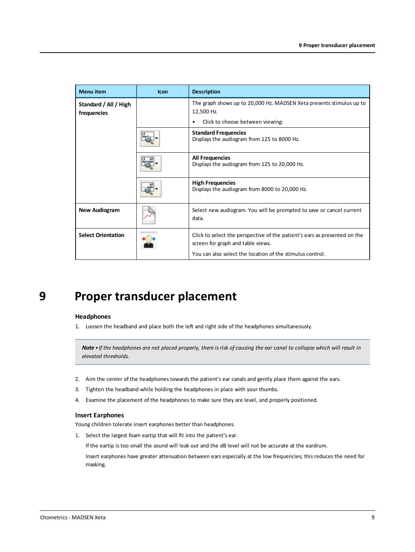| <b>Menu</b> item                     | Icon | <b>Description</b>                                                                                             |
|--------------------------------------|------|----------------------------------------------------------------------------------------------------------------|
| Standard / All / High<br>frequencies |      | The graph shows up to 20,000 Hz. MADSEN Xeta presents stimulus up to<br>12,500 Hz.                             |
|                                      |      | Click to choose between viewing:<br>٠                                                                          |
|                                      |      | <b>Standard Frequencies</b><br>Displays the audiogram from 125 to 8000 Hz.                                     |
|                                      |      | <b>All Frequencies</b><br>Displays the audiogram from 125 to 20,000 Hz.                                        |
|                                      |      | <b>High Frequencies</b><br>Displays the audiogram from 8000 to 20,000 Hz.                                      |
| <b>New Audiogram</b>                 |      | Select new audiogram. You will be prompted to save or cancel current<br>data.                                  |
| <b>Select Orientation</b>            |      | Click to select the perspective of the patient's ears as presented on the<br>screen for graph and table views. |
|                                      |      | You can also select the location of the stimulus control.                                                      |

# <span id="page-8-0"></span>**9 Proper transducer placement**

#### **Headphones**

1. Loosen the headband and place both the left and right side of the headphones simultaneously.

Note . If the headphones are not placed properly, there is risk of causing the ear canal to collapse which will result in *elevated thresholds.*

- 2. Aim the center of the headphones towards the patient's ear canals and gently place them against the ears.
- 3. Tighten the headband while holding the headphones in place with your thumbs.
- 4. Examine the placement of the headphones to make sure they are level, and properly positioned.

### **Insert Earphones**

Young children tolerate insert earphones better than headphones.

1. Select the largest foam eartip that will fit into the patient's ear.

If the eartip is too small the sound will leak out and the dB level will not be accurate at the eardrum.

Insert earphones have greater attenuation between ears especially at the low frequencies; this reduces the need for masking.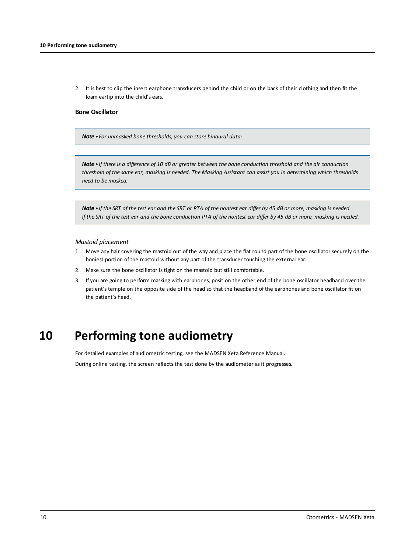2. It is best to clip the insert earphone transducers behind the child or on the back of their clothing and then fit the foam eartip into the child's ears.

#### **Bone Oscillator**

*Note • For unmasked bone thresholds, you can store binaural data:*

Note . If there is a difference of 10 dB or greater between the bone conduction threshold and the air conduction threshold of the same ear, masking is needed. The Masking Assistant can assist you in determining which thresholds *need to be masked.*

Note . If the SRT of the test ear and the SRT or PTA of the nontest ear differ by 45 dB or more, masking is needed. If the SRT of the test ear and the bone conduction PTA of the nontest ear differ by 45 dB or more, masking is needed.

### *Mastoid placement*

- 1. Move any hair covering the mastoid out of the way and place the flat round part of the bone oscillator securely on the boniest portion of the mastoid without any part of the transducer touching the external ear.
- 2. Make sure the bone oscillator is tight on the mastoid but still comfortable.
- <span id="page-9-0"></span>3. If you are going to perform masking with earphones, position the other end of the bone oscillator headband over the patient's temple on the opposite side of the head so that the headband of the earphones and bone oscillator fit on the patient's head.

# **10 Performing tone audiometry**

For detailed examples of audiometric testing, see the MADSEN Xeta Reference Manual.

During online testing, the screen reflects the test done by the audiometer as it progresses.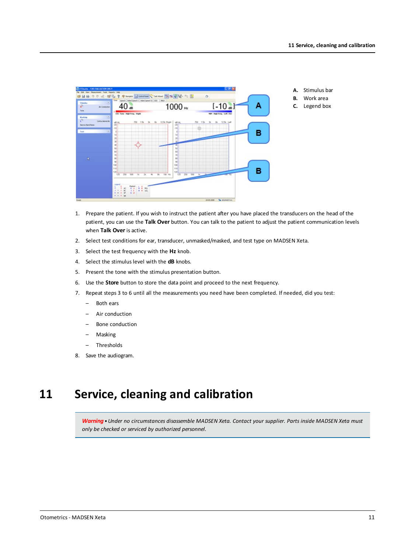

- 1. Prepare the patient. If you wish to instruct the patient after you have placed the transducers on the head of the patient, you can use the **Talk Over** button. You can talk to the patient to adjust the patient communication levels when **Talk Over** is active.
- 2. Select test conditions for ear, transducer, unmasked/masked, and test type on MADSEN Xeta.
- 3. Select the test frequency with the **Hz** knob.
- 4. Select the stimulus level with the **dB** knobs.
- 5. Present the tone with the stimulus presentation button.
- 6. Use the **Store** button to store the data point and proceed to the next frequency.
- 7. Repeat steps 3 to 6 until all the measurements you need have been completed. If needed, did you test:
	- Both ears
	- Air conduction
	- Bone conduction
	- Masking
	- Thresholds
- <span id="page-10-0"></span>8. Save the audiogram.

# **11 Service, cleaning and calibration**

*Warning•Under no circumstances disassemble MADSEN Xeta. Contact your supplier. Parts inside MADSEN Xeta must only be checked or serviced by authorized personnel.*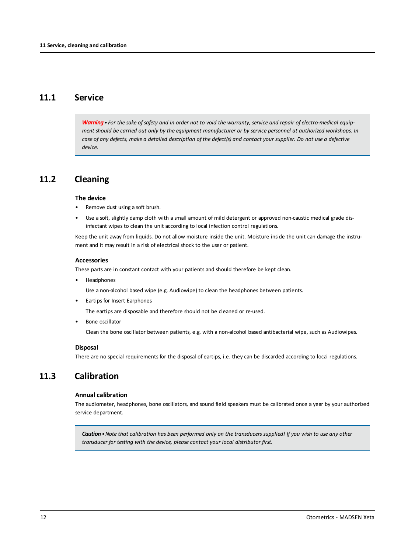### **11.1 Service**

Warning . For the sake of safety and in order not to void the warranty, service and repair of electro-medical equipment should be carried out only by the equipment manufacturer or by service personnel at authorized workshops. In case of any defects, make a detailed description of the defect(s) and contact your supplier. Do not use a defective *device.*

### **11.2 Cleaning**

### **The device**

- Remove dust using a soft brush.
- Use a soft, slightly damp cloth with a small amount of mild detergent or approved non-caustic medical grade disinfectant wipes to clean the unit according to local infection control regulations.

Keep the unit away from liquids. Do not allow moisture inside the unit. Moisture inside the unit can damage the instrument and it may result in a risk of electrical shock to the user or patient.

### **Accessories**

These parts are in constant contact with your patients and should therefore be kept clean.

**Headphones** 

Use a non-alcohol based wipe (e.g. Audiowipe) to clean the headphones between patients.

• Eartips for Insert Earphones

The eartips are disposable and therefore should not be cleaned or re-used.

• Bone oscillator

Clean the bone oscillator between patients, e.g. with a non-alcohol based antibacterial wipe, such as Audiowipes.

### **Disposal**

There are no special requirements for the disposal of eartips, i.e. they can be discarded according to local regulations.

### **11.3 Calibration**

#### **Annual calibration**

The audiometer, headphones, bone oscillators, and sound field speakers must be calibrated once a year by your authorized service department.

**Caution** • Note that calibration has been performed only on the transducers supplied! If you wish to use any other *transducer for testing with the device, please contact your local distributor first.*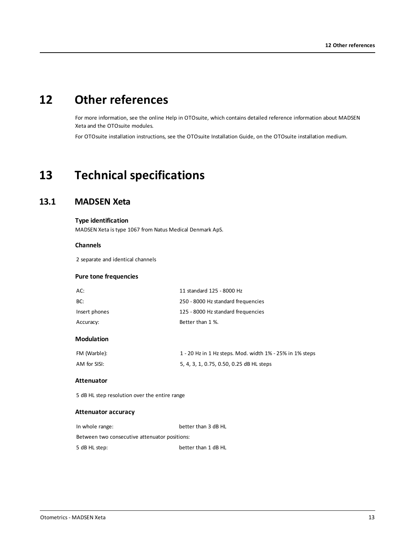# **12 Other references**

<span id="page-12-0"></span>For more information, see the online Help in OTOsuite, which contains detailed reference information about MADSEN Xeta and the OTOsuite modules.

<span id="page-12-1"></span>For OTOsuite installation instructions, see the OTOsuite Installation Guide, on the OTOsuite installation medium.

# **13 Technical specifications**

### **13.1 MADSEN Xeta**

### **Type identification**

MADSEN Xeta is type 1067 from Natus Medical Denmark ApS.

### **Channels**

2 separate and identical channels

### **Pure tone frequencies**

| AC:           | 11 standard 125 - 8000 Hz          |
|---------------|------------------------------------|
| BC:           | 250 - 8000 Hz standard frequencies |
| Insert phones | 125 - 8000 Hz standard frequencies |
| Accuracy:     | Better than 1 %.                   |

### **Modulation**

| FM (Warble): | 1 - 20 Hz in 1 Hz steps. Mod. width 1% - 25% in 1% steps |
|--------------|----------------------------------------------------------|
| AM for SISI: | 5, 4, 3, 1, 0.75, 0.50, 0.25 dB HL steps                 |

### **Attenuator**

5 dB HL step resolution over the entire range

### **Attenuator accuracy**

| In whole range:                               | better than 3 dB HL |  |
|-----------------------------------------------|---------------------|--|
| Between two consecutive attenuator positions: |                     |  |
| 5 dB HL step:                                 | better than 1 dB HL |  |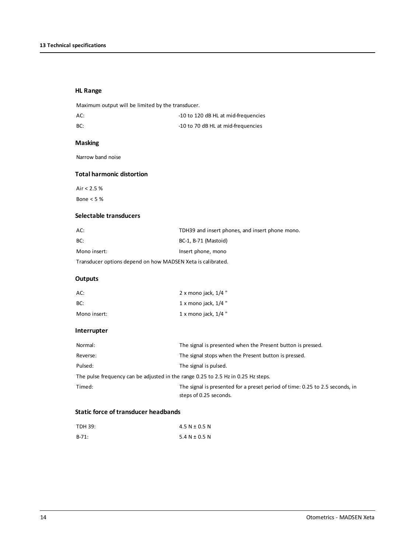### **HL Range**

Maximum output will be limited by the transducer.

| AC: | -10 to 120 dB HL at mid-frequencies |
|-----|-------------------------------------|
| BC: | -10 to 70 dB HL at mid-frequencies  |

### **Masking**

Narrow band noise

### **Total harmonic distortion**

Air < 2.5 %

Bone < 5 %

### **Selectable transducers**

| AC:                                                         | TDH39 and insert phones, and insert phone mono. |  |
|-------------------------------------------------------------|-------------------------------------------------|--|
| BC:                                                         | BC-1. B-71 (Mastoid)                            |  |
| Mono insert:                                                | Insert phone, mono                              |  |
| Transducer options depend on how MADSEN Xeta is calibrated. |                                                 |  |

### **Outputs**

| AC:          | 2 x mono jack, $1/4$ " |
|--------------|------------------------|
| BC:          | 1 x mono jack, $1/4$ " |
| Mono insert: | 1 x mono jack, $1/4$ " |

### **Interrupter**

| Normal:                                                                           | The signal is presented when the Present button is pressed.                                            |
|-----------------------------------------------------------------------------------|--------------------------------------------------------------------------------------------------------|
| Reverse:                                                                          | The signal stops when the Present button is pressed.                                                   |
| Pulsed:                                                                           | The signal is pulsed.                                                                                  |
| The pulse frequency can be adjusted in the range 0.25 to 2.5 Hz in 0.25 Hz steps. |                                                                                                        |
| Timed:                                                                            | The signal is presented for a preset period of time: 0.25 to 2.5 seconds, in<br>steps of 0.25 seconds. |

### **Static force of transducer headbands**

| TDH 39: | 4.5 N $\pm$ 0.5 N |
|---------|-------------------|
| $B-71:$ | 5.4 N $\pm$ 0.5 N |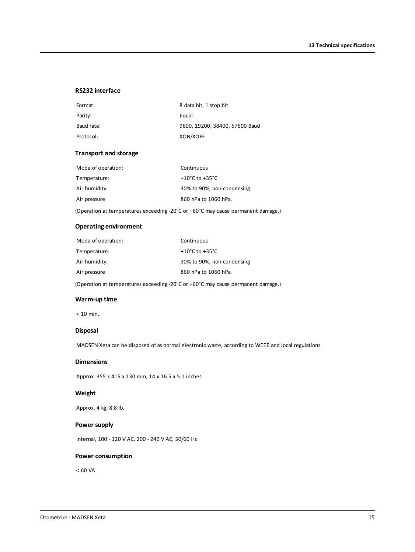### **RS232 interface**

| Format:    | 8 data bit, 1 stop bit         |
|------------|--------------------------------|
| Parity:    | Equal                          |
| Baud rate: | 9600, 19200, 38400, 57600 Baud |
| Protocol:  | XON/XOFF                       |

### **Transport and storage**

| Mode of operation: | Continuous                         |
|--------------------|------------------------------------|
| Temperature:       | $+10^{\circ}$ C to $+35^{\circ}$ C |
| Air humidity:      | 30% to 90%, non-condensing         |
| Air pressure       | 860 hPa to 1060 hPa.               |

(Operation at temperatures exceeding -20°C or +60°C may cause permanent damage.)

### **Operating environment**

| Mode of operation: | Continuous                           |
|--------------------|--------------------------------------|
| Temperature:       | +10 $^{\circ}$ C to +35 $^{\circ}$ C |
| Air humidity:      | 30% to 90%, non-condensing           |
| Air pressure       | 860 hPa to 1060 hPa.                 |

(Operation at temperatures exceeding -20°C or +60°C may cause permanent damage.)

### **Warm-up time**

< 10 min.

### **Disposal**

MADSEN Xeta can be disposed of as normal electronic waste, according to WEEE and local regulations.

### **Dimensions**

Approx. 355 x 415 x 130 mm, 14 x 16.5 x 5.1 inches

### **Weight**

Approx. 4 kg, 8.8 lb.

#### **Power supply**

Internal, 100 - 120 V AC, 200 - 240 V AC, 50/60 Hz

#### **Power consumption**

 $< 60 VA$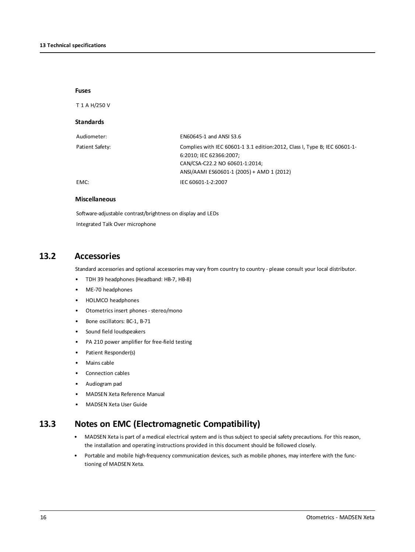### **Fuses**

T 1 A H/250 V

### **Standards**

| Audiometer:     | EN60645-1 and ANSI S3.6                                                    |
|-----------------|----------------------------------------------------------------------------|
| Patient Safety: | Complies with IEC 60601-1 3.1 edition: 2012, Class I, Type B; IEC 60601-1- |
|                 | 6:2010; IEC 62366:2007;                                                    |
|                 | CAN/CSA-C22.2 NO 60601-1:2014;                                             |
|                 | ANSI/AAMI ES60601-1 (2005) + AMD 1 (2012)                                  |
| EMC:            | IEC 60601-1-2:2007                                                         |

### **Miscellaneous**

Software-adjustable contrast/brightness on display and LEDs Integrated Talk Over microphone

### **13.2 Accessories**

Standard accessories and optional accessories may vary from country to country - please consult your local distributor.

- TDH 39 headphones (Headband: HB-7, HB-8)
- ME-70 headphones
- HOLMCO headphones
- Otometrics insert phones stereo/mono
- Bone oscillators: BC-1, B-71
- Sound field loudspeakers
- PA 210 power amplifier for free-field testing
- Patient Responder(s)
- Mains cable
- Connection cables
- Audiogram pad
- MADSEN Xeta Reference Manual
- MADSEN Xeta User Guide

### **13.3 Notes on EMC (Electromagnetic Compatibility)**

- MADSEN Xeta is part of a medical electrical system and is thus subject to special safety precautions. For this reason, the installation and operating instructions provided in this document should be followed closely.
- Portable and mobile high-frequency communication devices, such as mobile phones, may interfere with the functioning of MADSEN Xeta.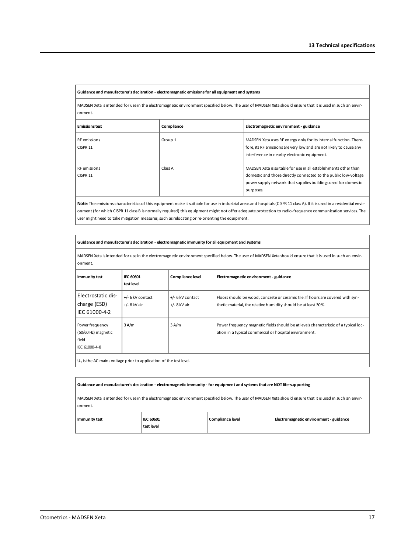#### **Guidance and manufacturer's declaration - electromagnetic emissionsfor all equipment and systems**

MADSEN Xeta isintended for use in the electromagnetic environment specified below. The user of MADSEN Xeta should ensure that it is used in such an environment.

| <b>Emissions test</b>    | Compliance | Electromagnetic environment - guidance                                                                                                                                                                             |
|--------------------------|------------|--------------------------------------------------------------------------------------------------------------------------------------------------------------------------------------------------------------------|
| RF emissions<br>CISPR 11 | Group 1    | MADSEN Xeta uses RF energy only for its internal function. There-<br>fore, its RF emissions are very low and are not likely to cause any<br>interference in nearby electronic equipment.                           |
| RF emissions<br>CISPR 11 | Class A    | MADSEN Xeta is suitable for use in all establishments other than<br>domestic and those directly connected to the public low-voltage<br>power supply network that supplies buildings used for domestic<br>purposes. |

**Note**: The emissions characteristics of this equipment make it suitable for use in industrial areas and hospitals(CISPR 11 class A). If it is used in a residential environment (for which CISPR 11 class B is normally required) this equipment might not offer adequate protection to radio-frequency communication services. The user might need to take mitigation measures, such as relocating or re-orienting the equipment.

#### **Guidance and manufacturer's declaration - electromagnetic immunity for all equipment and systems**

MADSEN Xeta isintended for use in the electromagnetic environment specified below. The user of MADSEN Xeta should ensure that it is used in such an environment.

| Immunity test                                                    | <b>IEC 60601</b><br>test level     | Compliance level                   | Electromagnetic environment - guidance                                                                                                              |
|------------------------------------------------------------------|------------------------------------|------------------------------------|-----------------------------------------------------------------------------------------------------------------------------------------------------|
| Electrostatic dis-<br>charge (ESD)<br>IEC 61000-4-2              | +/- 6 kV contact<br>$+/-$ 8 kV air | +/- 6 kV contact<br>$+/-$ 8 kV air | Floors should be wood, concrete or ceramic tile. If floors are covered with syn-<br>thetic material, the relative humidity should be at least 30 %. |
| Power frequency<br>(50/60 Hz) magnetic<br>field<br>IEC 61000-4-8 | 3A/m                               | 3A/m                               | Power frequency magnetic fields should be at levels characteristic of a typical loc-<br>ation in a typical commercial or hospital environment.      |

 $U_T$  is the AC mains voltage prior to application of the test level.

| Guidance and manufacturer's declaration - electromagnetic immunity - for equipment and systems that are NOT life-supporting                                              |                                |                  |                                        |
|--------------------------------------------------------------------------------------------------------------------------------------------------------------------------|--------------------------------|------------------|----------------------------------------|
| MADSEN Xeta is intended for use in the electromagnetic environment specified below. The user of MADSEN Xeta should ensure that it is used in such an envir-<br>l onment. |                                |                  |                                        |
| Immunity test                                                                                                                                                            | <b>IEC 60601</b><br>test level | Compliance level | Electromagnetic environment - guidance |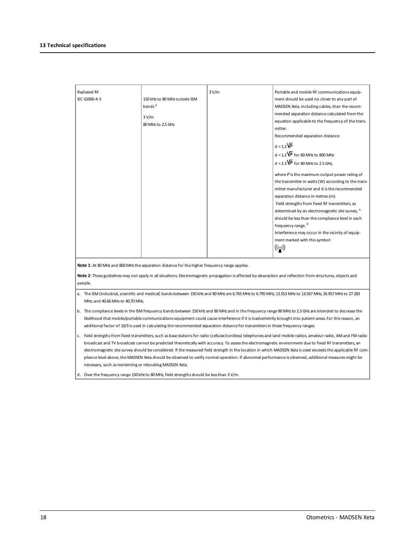| Radiated RF   |                               | 3 V/m | Portable and mobile RF communications equip-         |
|---------------|-------------------------------|-------|------------------------------------------------------|
| IEC 61000-4-3 | 150 kHz to 80 MHz outside ISM |       | ment should be used no closer to any part of         |
|               | bands <sup>a</sup>            |       | MADSEN Xeta, including cables, than the recom-       |
|               | 3 V/m                         |       | mended separation distance calculated from the       |
|               |                               |       | equation applicable to the frequency of the trans-   |
|               | 80 MHz to 2.5 GHz             |       | mitter.                                              |
|               |                               |       | Recommended separation distance:                     |
|               |                               |       | $d = 1.2\sqrt{P}$                                    |
|               |                               |       | $d = 1.2\overline{VP}$ for 80 MHz to 800 MHz         |
|               |                               |       | $d = 2.3\sqrt{P}$ for 80 MHz to 2.5 GHz,             |
|               |                               |       | where $P$ is the maximum output power rating of      |
|               |                               |       | the transmitter in watts (W) according to the trans- |
|               |                               |       | mitter manufacturer and d is the recommended         |
|               |                               |       | separation distance in metres (m).                   |
|               |                               |       | Field strengths from fixed RF transmitters, as       |
|               |                               |       | determined by an electromagnetic site survey, a      |
|               |                               |       | should be less than the compliance level in each     |
|               |                               |       | frequency range. <sup>b</sup>                        |
|               |                               |       | Interference may occur in the vicinity of equip-     |
|               |                               |       | ment marked with this symbol:                        |
|               |                               |       | $\bigl((\cdot, \cdot)\bigr)$                         |
|               |                               |       |                                                      |

Note 1: At 80 MHz and 800 MHz the separation distance for the higher frequency range applies.

**Note 2**: These guidelinesmay not apply in all situations. Electromagnetic propagation is affected by absorption and reflection from structures, objects and people.

a. The ISM (industrial, scientific and medical) bands between 150 kHz and 80 MHz are 6.765 MHz to 7.3557 MHz; 26.167 MHz; 26.957 MHz to 27.283 MHz; and 40.66 MHz to 40,70 MHz.

- b. The compliance levelsin the ISM frequency bands between 150 kHz and 80 MHz and in the frequency range 80 MHzto 2.5GHz are intended to decrease the likelihood that mobile/portable communications equipment could cause interference if it is inadvertently brought into patient areas. For this reason, an additional factor of 10/3 is used in calculating the recommended separation distance for transmittersin these frequency ranges.
- c. Field strengths from fixed transmitters, such as base stations for radio (cellular/cordless) telephones and land mobile radios, amateur radio, AM and FM radio broadcast and TV broadcast cannot be predicted theoretically with accuracy. To assessthe electromagnetic environment due to fixed RF transmitters, an electromagnetic site survey should be considered. If the measured field strength in the location in which MADSEN Xeta is used exceedsthe applicable RF compliance level above, the MADSEN Xeta should be observed to verify normal operation. If abnormal performance is observed, additional measuresmight be necessary, such as reorienting or relocating MADSEN Xeta.

d. Over the frequency range 150 kHz to 80 MHz, field strengths should be less than 3 V/m.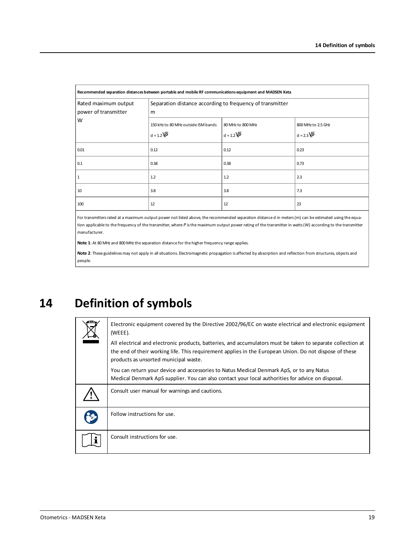| Recommended separation distances between portable and mobile RF communications equipment and MADSEN Xeta |                                                                |                                             |                                         |
|----------------------------------------------------------------------------------------------------------|----------------------------------------------------------------|---------------------------------------------|-----------------------------------------|
| Rated maximum output<br>power of transmitter                                                             | Separation distance according to frequency of transmitter<br>m |                                             |                                         |
| W                                                                                                        | 150 kHz to 80 MHz outside ISM bands<br>$d = 1.2\overline{VP}$  | 80 MHz to 800 MHz<br>$d = 1.2\overline{VP}$ | 800 MHz to 2.5 GHz<br>$d = 2.3\sqrt{P}$ |
| 0.01                                                                                                     | 0.12                                                           | 0.12                                        | 0.23                                    |
| 0.1                                                                                                      | 0.38                                                           | 0.38                                        | 0.73                                    |
|                                                                                                          | 1.2                                                            | 1.2                                         | 2.3                                     |
| 10                                                                                                       | 3.8                                                            | 3.8                                         | 7.3                                     |
| 100                                                                                                      | 12                                                             | 12                                          | 23                                      |

For transmitters rated at a maximum output power not listed above, the recommended separation distance d in meters (m) can be estimated using the equation applicable to the frequency of the transmitter, where *P* isthe maximum output power rating of the transmitter in watts(W) according to the transmitter manufacturer.

Note 1: At 80 MHz and 800 MHz the separation distance for the higher frequency range applies.

<span id="page-18-0"></span>**Note 2**: These guidelinesmay not apply in all situations. Electromagnetic propagation is affected by absorption and reflection from structures, objects and people.

**14 Definition of symbols**

| Electronic equipment covered by the Directive 2002/96/EC on waste electrical and electronic equipment<br>(WEEE).                                                                                                                                               |
|----------------------------------------------------------------------------------------------------------------------------------------------------------------------------------------------------------------------------------------------------------------|
| All electrical and electronic products, batteries, and accumulators must be taken to separate collection at<br>the end of their working life. This requirement applies in the European Union. Do not dispose of these<br>products as unsorted municipal waste. |
| You can return your device and accessories to Natus Medical Denmark ApS, or to any Natus<br>Medical Denmark ApS supplier. You can also contact your local authorities for advice on disposal.                                                                  |
| Consult user manual for warnings and cautions.                                                                                                                                                                                                                 |
| Follow instructions for use.                                                                                                                                                                                                                                   |
| Consult instructions for use.                                                                                                                                                                                                                                  |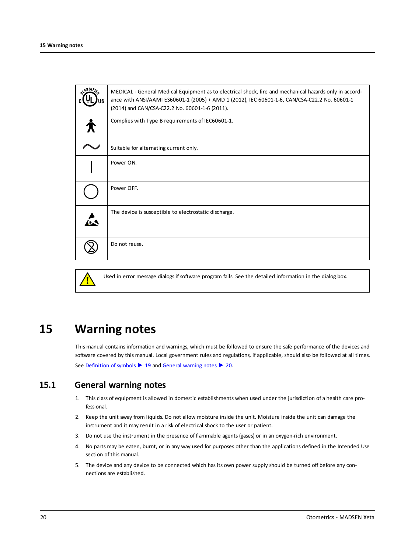| رخ SSI) | MEDICAL - General Medical Equipment as to electrical shock, fire and mechanical hazards only in accord-<br>ance with ANSI/AAMI ES60601-1 (2005) + AMD 1 (2012), IEC 60601-1-6, CAN/CSA-C22.2 No. 60601-1<br>(2014) and CAN/CSA-C22.2 No. 60601-1-6 (2011). |
|---------|------------------------------------------------------------------------------------------------------------------------------------------------------------------------------------------------------------------------------------------------------------|
|         | Complies with Type B requirements of IEC60601-1.                                                                                                                                                                                                           |
|         | Suitable for alternating current only.                                                                                                                                                                                                                     |
|         | Power ON.                                                                                                                                                                                                                                                  |
|         | Power OFF.                                                                                                                                                                                                                                                 |
|         | The device is susceptible to electrostatic discharge.                                                                                                                                                                                                      |
|         | Do not reuse.                                                                                                                                                                                                                                              |



Used in error message dialogs if software program fails. See the detailed information in the dialog box.

# **15 Warning notes**

<span id="page-19-1"></span><span id="page-19-0"></span>This manual contains information and warnings, which must be followed to ensure the safe performance of the devices and software covered by this manual. Local government rules and regulations, if applicable, should also be followed at all times. See [Definition](#page-18-0) of symbols ► 19 and General [warning](#page-19-1) notes ► 20.

### **15.1 General warning notes**

- 1. This class of equipment is allowed in domestic establishments when used under the jurisdiction of a health care professional.
- 2. Keep the unit away from liquids. Do not allow moisture inside the unit. Moisture inside the unit can damage the instrument and it may result in a risk of electrical shock to the user or patient.
- 3. Do not use the instrument in the presence of flammable agents (gases) or in an oxygen-rich environment.
- 4. No parts may be eaten, burnt, or in any way used for purposes other than the applications defined in the Intended Use section of this manual.
- 5. The device and any device to be connected which has its own power supply should be turned off before any connections are established.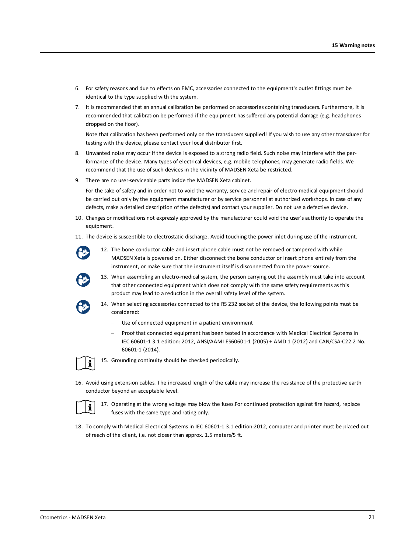- 6. For safety reasons and due to effects on EMC, accessories connected to the equipment's outlet fittings must be identical to the type supplied with the system.
- 7. It is recommended that an annual calibration be performed on accessories containing transducers. Furthermore, it is recommended that calibration be performed if the equipment has suffered any potential damage (e.g. headphones dropped on the floor).

Note that calibration has been performed only on the transducers supplied! If you wish to use any other transducer for testing with the device, please contact your local distributor first.

- 8. Unwanted noise may occur if the device is exposed to a strong radio field. Such noise may interfere with the performance of the device. Many types of electrical devices, e.g. mobile telephones, may generate radio fields. We recommend that the use of such devices in the vicinity of MADSEN Xeta be restricted.
- 9. There are no user-serviceable parts inside the MADSEN Xeta cabinet.

For the sake of safety and in order not to void the warranty, service and repair of electro-medical equipment should be carried out only by the equipment manufacturer or by service personnel at authorized workshops. In case of any defects, make a detailed description of the defect(s) and contact your supplier. Do not use a defective device.

- 10. Changes or modifications not expressly approved by the manufacturer could void the user's authority to operate the equipment.
- 11. The device is susceptible to electrostatic discharge. Avoid touching the power inlet during use of the instrument.



12. The bone conductor cable and insert phone cable must not be removed or tampered with while MADSEN Xeta is powered on. Either disconnect the bone conductor or insert phone entirely from the instrument, or make sure that the instrument itself is disconnected from the power source.



13. When assembling an electro-medical system, the person carrying out the assembly must take into account that other connected equipment which does not comply with the same safety requirements as this product may lead to a reduction in the overall safety level of the system.



- 14. When selecting accessories connected to the RS 232 socket of the device, the following points must be considered:
	- Use of connected equipment in a patient environment
	- Proof that connected equipment has been tested in accordance with Medical Electrical Systems in IEC 60601-1 3.1 edition: 2012, ANSI/AAMI ES60601-1 (2005) + AMD 1 (2012) and CAN/CSA-C22.2 No. 60601-1 (2014).



15. Grounding continuity should be checked periodically.

16. Avoid using extension cables. The increased length of the cable may increase the resistance of the protective earth conductor beyond an acceptable level.



17. Operating at the wrong voltage may blow the fuses.For continued protection against fire hazard, replace fuses with the same type and rating only.

18. To comply with Medical Electrical Systems in IEC 60601-1 3.1 edition:2012, computer and printer must be placed out of reach of the client, i.e. not closer than approx. 1.5 meters/5 ft.